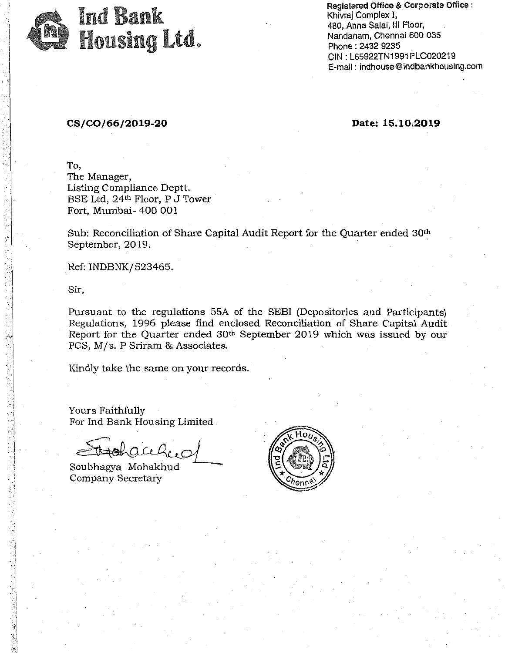

Registered Office & Corporate Office : Khivraj Complex I, 480, Anna Salai, Ill Floor, Nandanam, Chennai 600 035 Phone : 2432 9235 CIN: L65922TN1991PLC020219 E-mail : indhouse@indbankhousing.com

## CS/C0/66/2019-20

Date: 15.10.2019

To, The Manager, Listing Compliance Deptt. BSE Ltd, 24<sup>th</sup> Floor, P J Tower<br>Fort, Mumbai- 400 001

Sub: Reconciliation of Share Capital Audit Report for the Quarter ended 30<sup>th</sup> September, 2019.

Ref: INDBNK/ 523465.

Sir,

 $\cdot \cdot$  . : I :, l  $\sim$ ti

 $\lambda$  ,  $\lambda$ 

t>l '.'·'.

Pursuant to the regulations SSA of the SEBI (Depositories and Participants) Regulations, 1996 please find enclosed Reconciliation of Share Capital Audit Report for the Quarter ended 30th September 2019 which was issued by our PCS; M/s. P Sriram & Associates.

Kindly take the same on your records.

Yours Faithfully For Ind Bank Housing Limited

Hacely ~~

Soubhagya Mohakhud Company Secretary

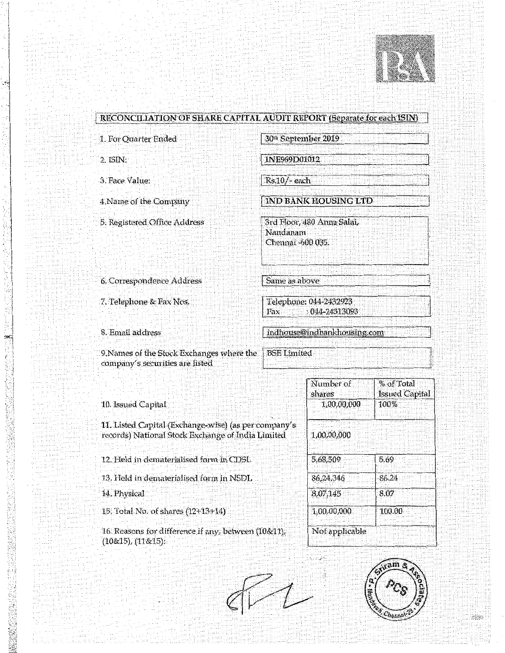

| 1. For Quarter Ended                                                                                      | 30 <sup>th</sup> September 2019                             |                      |                                     |  |
|-----------------------------------------------------------------------------------------------------------|-------------------------------------------------------------|----------------------|-------------------------------------|--|
| 2. ISIN:                                                                                                  | INE969D01012                                                |                      |                                     |  |
| 3. Face Value:<br>Rs.10/-each                                                                             |                                                             |                      |                                     |  |
| 4. Name of the Company                                                                                    |                                                             | IND BANK HOUSING LTD |                                     |  |
| 5. Registered Office Address                                                                              | 3rd Floor, 480 Anna Salai,<br>Nandanam<br>Chennaí -600 035. |                      |                                     |  |
| 6. Correspondence Address                                                                                 | Same as above                                               |                      |                                     |  |
| 7. Telephone & Fax Nos.                                                                                   | Telephone: 044-2432923<br>: 044-24313093<br>$\Gamma$ ax     |                      |                                     |  |
| 8. Email address                                                                                          | indhouse@indbankhousing.com                                 |                      |                                     |  |
| 9. Names of the Stock Exchanges where the<br>company's securities are listed                              | <b>BSE</b> Limited                                          |                      |                                     |  |
|                                                                                                           |                                                             | Number of<br>shares  | % of Total<br><b>Issued Capital</b> |  |
| 10. Issued Capital                                                                                        |                                                             | 1,00,00,000          | 100%                                |  |
| 11. Listed Capital (Exchange-wise) (as per company's<br>records) National Stock Exchange of India Limited |                                                             | 1,00,00,000          |                                     |  |
| 12. Held in dematerialised form in CDSL                                                                   |                                                             | 5,68,509             | 5.69                                |  |
| 13. Held in dematerialised form in NSDL                                                                   |                                                             | 86,24,346            | 86.24                               |  |
| 14. Physical                                                                                              |                                                             | 8,07,145             | 8.07                                |  |
| 15. Total No. of shares (12+13+14)                                                                        |                                                             | 1,00,00,000          | 100.00                              |  |
| 16. Reasons for difference if any, between (10&11),<br>(10&15), (11&15).                                  |                                                             | Not applicable       |                                     |  |

ð.

j,  $\frac{1}{2}$ 

1. 1. 1. 1. 1. 1. 1.

an yayyin ÷,

> regger.  $\sim$

é

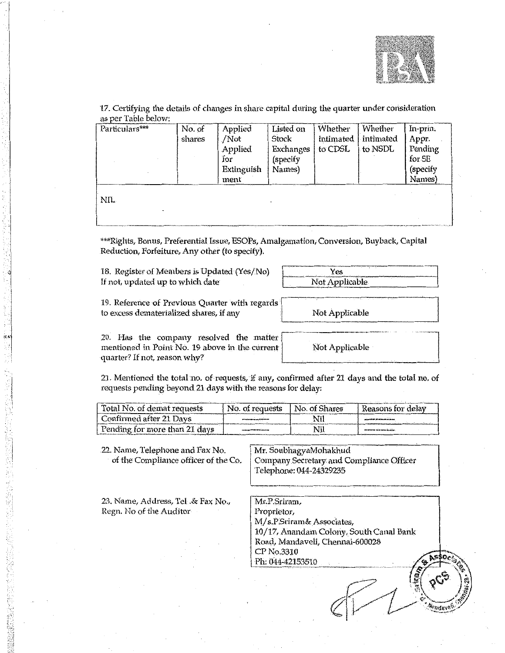

l.<br>Rrefev8

17. Certifying the details of changes in share capital during the quarter under consideration as per Table below:

| Particulars*** | No. of | Applied    | Listed on | Whether   | Whether   | In-prin. |
|----------------|--------|------------|-----------|-----------|-----------|----------|
|                | shares | /Not       | Stock     | intimated | intimated | Appr.    |
|                |        | Applied    | Exchanges | to CDSL   | to NSDL   | Pending  |
|                |        | for        | (specify  |           |           | for SE   |
|                |        | Extinguish | Names)    |           |           | (specify |
|                |        | ment       |           |           |           | Names)   |
|                |        |            |           |           |           |          |
| NIL.           |        |            |           |           |           |          |
|                |        |            |           |           |           |          |

\*\*\*Rights, Bonus, Preferential Issue, ESOPs, Amalgamation, Conversion, Buyback, Capital Reduction, Forfeiture, Any other (to specify).

18. Register of Members is Updated (Yes/No) If not, updated up to which date

| Y es<br>and material and material and contact and contact and and contact and all and contact and |  |
|---------------------------------------------------------------------------------------------------|--|
| Not Applicable                                                                                    |  |

19. Reference of Previous Ouarter with regards to excess dematerialized shares, if any

20. Has the company resolved the matter mentioned in Point No. 19 above in the current quarter? If not, reason why?

Not Applicable

Not Applicable

21. Mentioned the total no. of requests, if any, confirmed after 21 days and the total no. of requests pending beyond 21 days with the reasons for delay:

| Total No. of demat requests   | No. of requests | No. of Shares | Reasons for delay                       |
|-------------------------------|-----------------|---------------|-----------------------------------------|
| Confirmed after 21 Days       |                 |               | والزمان المتراكبين بالمراكبات القاراتية |
| Pending for more than 21 days |                 |               | an wronte to it were more or            |

22. Name, Telephone and Fax No. Mr. SoubhagyaMohakhud of the Compliance officer of the Co. Company Secretary and Compliance Officer Telephone: 044-24329235 23. Name, Address, Tel. & Fax No., Mr.P.Sriram, Regn. No of the Auditor Proprietor. M/s.P.Sriram& Associates, 10/17, Anandam Colony, South Canal Bank Road, Mandaveli, Chennai-600028 CP No.3310 Ph: 044-42153510